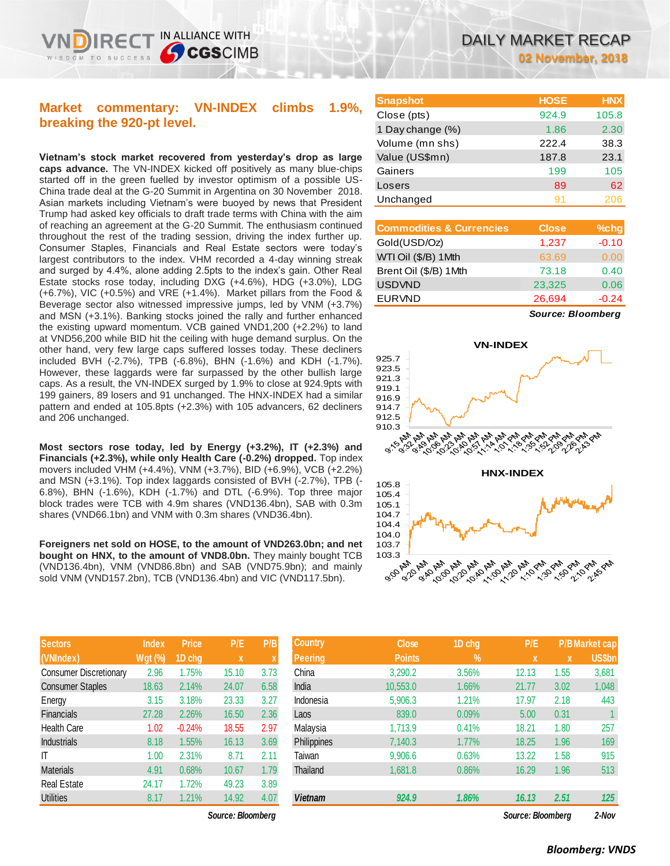# **Market commentary: VN-INDEX climbs 1.9%, breaking the 920-pt level.**

IN ALLIANCE WITH

**SCGSCIMB** 

**Vietnam's stock market recovered from yesterday's drop as large caps advance.** The VN-INDEX kicked off positively as many blue-chips started off in the green fuelled by investor optimism of a possible US-China trade deal at the G-20 Summit in Argentina on 30 November 2018. Asian markets including Vietnam's were buoyed by news that President Trump had asked key officials to draft trade terms with China with the aim of reaching an agreement at the G-20 Summit. The enthusiasm continued throughout the rest of the trading session, driving the index further up. Consumer Staples, Financials and Real Estate sectors were today's largest contributors to the index. VHM recorded a 4-day winning streak and surged by 4.4%, alone adding 2.5pts to the index's gain. Other Real Estate stocks rose today, including DXG (+4.6%), HDG (+3.0%), LDG (+6.7%), VIC (+0.5%) and VRE (+1.4%). Market pillars from the Food & Beverage sector also witnessed impressive jumps, led by VNM (+3.7%) and MSN (+3.1%). Banking stocks joined the rally and further enhanced the existing upward momentum. VCB gained VND1,200 (+2.2%) to land at VND56,200 while BID hit the ceiling with huge demand surplus. On the other hand, very few large caps suffered losses today. These decliners included BVH (-2.7%), TPB (-6.8%), BHN (-1.6%) and KDH (-1.7%). However, these laggards were far surpassed by the other bullish large caps. As a result, the VN-INDEX surged by 1.9% to close at 924.9pts with 199 gainers, 89 losers and 91 unchanged. The HNX-INDEX had a similar pattern and ended at 105.8pts (+2.3%) with 105 advancers, 62 decliners and 206 unchanged.

**Most sectors rose today, led by Energy (+3.2%), IT (+2.3%) and Financials (+2.3%), while only Health Care (-0.2%) dropped.** Top index movers included VHM (+4.4%), VNM (+3.7%), BID (+6.9%), VCB (+2.2%) and MSN (+3.1%). Top index laggards consisted of BVH (-2.7%), TPB (- 6.8%), BHN (-1.6%), KDH (-1.7%) and DTL (-6.9%). Top three major block trades were TCB with 4.9m shares (VND136.4bn), SAB with 0.3m shares (VND66.1bn) and VNM with 0.3m shares (VND36.4bn).

**Foreigners net sold on HOSE, to the amount of VND263.0bn; and net bought on HNX, to the amount of VND8.0bn.** They mainly bought TCB (VND136.4bn), VNM (VND86.8bn) and SAB (VND75.9bn); and mainly sold VNM (VND157.2bn), TCB (VND136.4bn) and VIC (VND117.5bn).

| <b>Sectors</b>                | <b>Index</b>   | <b>Price</b> | P/E   | P/B  |
|-------------------------------|----------------|--------------|-------|------|
| (VNIndex)                     | <b>Wgt (%)</b> | 1D chg       | X     | X    |
| <b>Consumer Discretionary</b> | 2.96           | 1.75%        | 15.10 | 3.73 |
| <b>Consumer Staples</b>       | 18.63          | 2.14%        | 24.07 | 6.58 |
| Energy                        | 3.15           | 3.18%        | 23.33 | 3.27 |
| <b>Financials</b>             | 27.28          | 2.26%        | 16.50 | 2.36 |
| <b>Health Care</b>            | 1.02           | $-0.24%$     | 18.55 | 2.97 |
| <b>Industrials</b>            | 8.18           | 1.55%        | 16.13 | 3.69 |
| ıτ                            | 1.00           | 2.31%        | 8.71  | 2.11 |
| <b>Materials</b>              | 4.91           | 0.68%        | 10.67 | 1.79 |
| <b>Real Estate</b>            | 24.17          | 1.72%        | 49.23 | 3.89 |
| <b>Utilities</b>              | 8.17           | 1.21%        | 14.92 | 4.07 |

| <b>Snapshot</b>  | <b>HOSE</b> | <b>HNX</b> |
|------------------|-------------|------------|
| Close (pts)      | 924.9       | 105.8      |
| 1 Day change (%) | 1.86        | 2.30       |
| Volume (mn shs)  | 222.4       | 38.3       |
| Value (US\$mn)   | 187.8       | 23.1       |
| Gainers          | 199         | 105        |
| Losers           | 89          | 62         |
| Unchanged        | 91          | 206        |

| <b>Commodities &amp; Currencies</b> | <b>Close</b> | $%$ chg |
|-------------------------------------|--------------|---------|
| Gold(USD/Oz)                        | 1,237        | $-0.10$ |
| WTI Oil (\$/B) 1 Mth                | 63.69        | 0.00    |
| Brent Oil (\$/B) 1Mth               | 73.18        | 0.40    |
| <b>USDVND</b>                       | 23,325       | 0.06    |
| <b>EURVND</b>                       | 26,694       | $-0.24$ |
|                                     |              |         |

*Source: Bloomberg*



| <b>Sectors</b>                | <b>Index</b> | <b>Price</b> | P/E               | P/B  | <b>Country</b> | <b>Close</b>  | 1D chg | P/E               |      | <b>P/B Market cap</b> |
|-------------------------------|--------------|--------------|-------------------|------|----------------|---------------|--------|-------------------|------|-----------------------|
| (VNIndex)                     | $Wgt($ %)    | 1D chg       | X                 |      | Peering        | <b>Points</b> | $\%$   | X                 | X    | <b>US\$bn</b>         |
| <b>Consumer Discretionary</b> | 2.96         | 1.75%        | 15.10             | 3.73 | China          | 3,290.2       | 3.56%  | 12.13             | 1.55 | 3,681                 |
| <b>Consumer Staples</b>       | 18.63        | 2.14%        | 24.07             | 6.58 | India          | 10,553.0      | 1.66%  | 21.77             | 3.02 | 1,048                 |
| Energy                        | 3.15         | 3.18%        | 23.33             | 3.27 | Indonesia      | 5,906.3       | 1.21%  | 17.97             | 2.18 | 443                   |
| Financials                    | 27.28        | 2.26%        | 16.50             | 2.36 | Laos           | 839.0         | 0.09%  | 5.00              | 0.31 |                       |
| Health Care                   | 1.02         | $-0.24%$     | 18.55             | 2.97 | Malaysia       | 1,713.9       | 0.41%  | 18.21             | 1.80 | 257                   |
| <b>Industrials</b>            | 8.18         | 1.55%        | 16.13             | 3.69 | Philippines    | 7,140.3       | 1.77%  | 18.25             | 1.96 | 169                   |
| Т                             | 1.00         | 2.31%        | 8.71              | 2.11 | Taiwan         | 9,906.6       | 0.63%  | 13.22             | 1.58 | 915                   |
| Materials                     | 4.91         | 0.68%        | 10.67             | 1.79 | Thailand       | 1,681.8       | 0.86%  | 16.29             | 1.96 | 513                   |
| Real Estate                   | 24.17        | 1.72%        | 49.23             | 3.89 |                |               |        |                   |      |                       |
| <b>Utilities</b>              | 8.17         | 1.21%        | 14.92             | 4.07 | <b>Vietnam</b> | 924.9         | 1.86%  | 16.13             | 2.51 | 125                   |
|                               |              |              | Source: Bloombera |      |                |               |        | Source: Bloomberg |      | 2-Nov                 |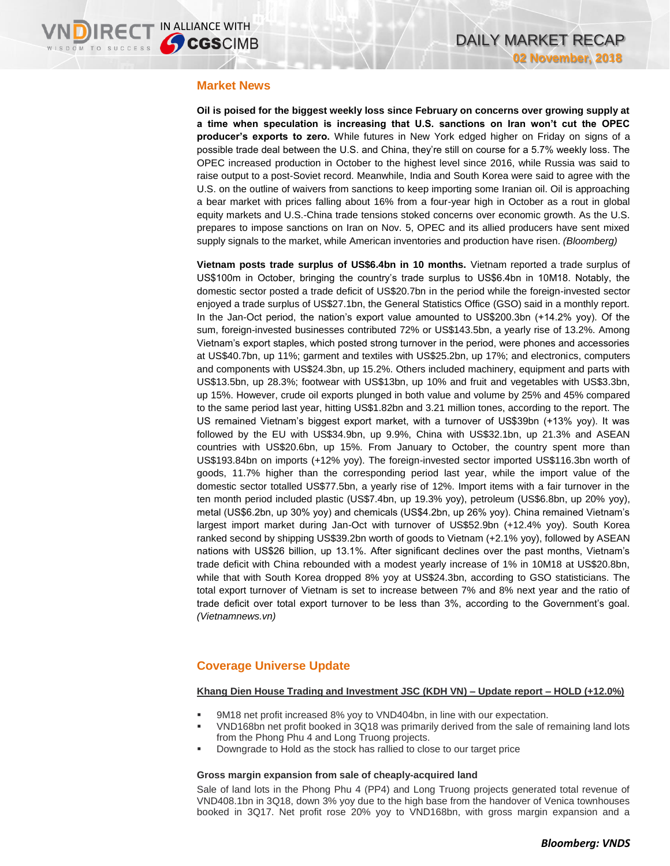## **Market News**

**Oil is poised for the biggest weekly loss since February on concerns over growing supply at a time when speculation is increasing that U.S. sanctions on Iran won't cut the OPEC producer's exports to zero.** While futures in New York edged higher on Friday on signs of a possible trade deal between the U.S. and China, they're still on course for a 5.7% weekly loss. The OPEC increased production in October to the highest level since 2016, while Russia was said to raise output to a post-Soviet record. Meanwhile, India and South Korea were said to agree with the U.S. on the outline of waivers from sanctions to keep importing some Iranian oil. Oil is approaching a bear market with prices falling about 16% from a four-year high in October as a rout in global equity markets and U.S.-China trade tensions stoked concerns over economic growth. As the U.S. prepares to impose sanctions on Iran on Nov. 5, OPEC and its allied producers have sent mixed supply signals to the market, while American inventories and production have risen. *(Bloomberg)*

**Vietnam posts trade surplus of US\$6.4bn in 10 months.** Vietnam reported a trade surplus of US\$100m in October, bringing the country's trade surplus to US\$6.4bn in 10M18. Notably, the domestic sector posted a trade deficit of US\$20.7bn in the period while the foreign-invested sector enjoyed a trade surplus of US\$27.1bn, the General Statistics Office (GSO) said in a monthly report. In the Jan-Oct period, the nation's export value amounted to US\$200.3bn (+14.2% yoy). Of the sum, foreign-invested businesses contributed 72% or US\$143.5bn, a yearly rise of 13.2%. Among Vietnam's export staples, which posted strong turnover in the period, were phones and accessories at US\$40.7bn, up 11%; garment and textiles with US\$25.2bn, up 17%; and electronics, computers and components with US\$24.3bn, up 15.2%. Others included machinery, equipment and parts with US\$13.5bn, up 28.3%; footwear with US\$13bn, up 10% and fruit and vegetables with US\$3.3bn, up 15%. However, crude oil exports plunged in both value and volume by 25% and 45% compared to the same period last year, hitting US\$1.82bn and 3.21 million tones, according to the report. The US remained Vietnam's biggest export market, with a turnover of US\$39bn (+13% yoy). It was followed by the EU with US\$34.9bn, up 9.9%, China with US\$32.1bn, up 21.3% and ASEAN countries with US\$20.6bn, up 15%. From January to October, the country spent more than US\$193.84bn on imports (+12% yoy). The foreign-invested sector imported US\$116.3bn worth of goods, 11.7% higher than the corresponding period last year, while the import value of the domestic sector totalled US\$77.5bn, a yearly rise of 12%. Import items with a fair turnover in the ten month period included plastic (US\$7.4bn, up 19.3% yoy), petroleum (US\$6.8bn, up 20% yoy), metal (US\$6.2bn, up 30% yoy) and chemicals (US\$4.2bn, up 26% yoy). China remained Vietnam's largest import market during Jan-Oct with turnover of US\$52.9bn (+12.4% yoy). South Korea ranked second by shipping US\$39.2bn worth of goods to Vietnam (+2.1% yoy), followed by ASEAN nations with US\$26 billion, up 13.1%. After significant declines over the past months, Vietnam's trade deficit with China rebounded with a modest yearly increase of 1% in 10M18 at US\$20.8bn, while that with South Korea dropped 8% yoy at US\$24.3bn, according to GSO statisticians. The total export turnover of Vietnam is set to increase between 7% and 8% next year and the ratio of trade deficit over total export turnover to be less than 3%, according to the Government's goal. *(Vietnamnews.vn)*

## **Coverage Universe Update**

### **Khang Dien House Trading and Investment JSC (KDH VN) – Update report – HOLD (+12.0%)**

- 9M18 net profit increased 8% yoy to VND404bn, in line with our expectation.
- VND168bn net profit booked in 3Q18 was primarily derived from the sale of remaining land lots from the Phong Phu 4 and Long Truong projects.
- Downgrade to Hold as the stock has rallied to close to our target price

#### **Gross margin expansion from sale of cheaply-acquired land**

Sale of land lots in the Phong Phu 4 (PP4) and Long Truong projects generated total revenue of VND408.1bn in 3Q18, down 3% yoy due to the high base from the handover of Venica townhouses booked in 3Q17. Net profit rose 20% yoy to VND168bn, with gross margin expansion and a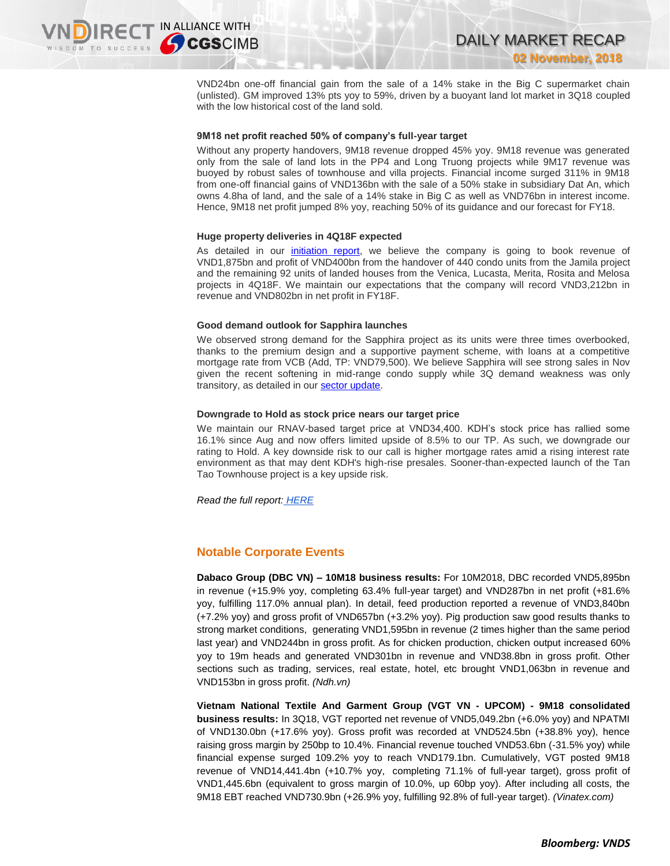DAILY MARKET RECAP **02 November, 2018**

VND24bn one-off financial gain from the sale of a 14% stake in the Big C supermarket chain (unlisted). GM improved 13% pts yoy to 59%, driven by a buoyant land lot market in 3Q18 coupled with the low historical cost of the land sold.

## **9M18 net profit reached 50% of company's full-year target**

Without any property handovers, 9M18 revenue dropped 45% yoy. 9M18 revenue was generated only from the sale of land lots in the PP4 and Long Truong projects while 9M17 revenue was buoyed by robust sales of townhouse and villa projects. Financial income surged 311% in 9M18 from one-off financial gains of VND136bn with the sale of a 50% stake in subsidiary Dat An, which owns 4.8ha of land, and the sale of a 14% stake in Big C as well as VND76bn in interest income. Hence, 9M18 net profit jumped 8% yoy, reaching 50% of its guidance and our forecast for FY18.

#### **Huge property deliveries in 4Q18F expected**

As detailed in our [initiation report,](https://brokingrfs.cimb.com/lcYIpzclDxYOMhoE1VdJkObqac3aCd9Kb6LAkhxxfIQitflU8YOWqDUD1_6YRpNYbTwke51yT7_sYhz10.pdf) we believe the company is going to book revenue of VND1,875bn and profit of VND400bn from the handover of 440 condo units from the Jamila project and the remaining 92 units of landed houses from the Venica, Lucasta, Merita, Rosita and Melosa projects in 4Q18F. We maintain our expectations that the company will record VND3,212bn in revenue and VND802bn in net profit in FY18F.

## **Good demand outlook for Sapphira launches**

We observed strong demand for the Sapphira project as its units were three times overbooked, thanks to the premium design and a supportive payment scheme, with loans at a competitive mortgage rate from VCB (Add, TP: VND79,500). We believe Sapphira will see strong sales in Nov given the recent softening in mid-range condo supply while 3Q demand weakness was only transitory, as detailed in our **sector update**.

## **Downgrade to Hold as stock price nears our target price**

We maintain our RNAV-based target price at VND34,400. KDH's stock price has rallied some 16.1% since Aug and now offers limited upside of 8.5% to our TP. As such, we downgrade our rating to Hold. A key downside risk to our call is higher mortgage rates amid a rising interest rate environment as that may dent KDH's high-rise presales. Sooner-than-expected launch of the Tan Tao Townhouse project is a key upside risk.

*Read the full report: [HERE](https://static-02.vndirect.com.vn/uploads/prod/KDH_Update_20181102.pdf)*

## **Notable Corporate Events**

**Dabaco Group (DBC VN) – 10M18 business results:** For 10M2018, DBC recorded VND5,895bn in revenue (+15.9% yoy, completing 63.4% full-year target) and VND287bn in net profit (+81.6% yoy, fulfilling 117.0% annual plan). In detail, feed production reported a revenue of VND3,840bn (+7.2% yoy) and gross profit of VND657bn (+3.2% yoy). Pig production saw good results thanks to strong market conditions, generating VND1,595bn in revenue (2 times higher than the same period last year) and VND244bn in gross profit. As for chicken production, chicken output increased 60% yoy to 19m heads and generated VND301bn in revenue and VND38.8bn in gross profit. Other sections such as trading, services, real estate, hotel, etc brought VND1,063bn in revenue and VND153bn in gross profit. *(Ndh.vn)*

**Vietnam National Textile And Garment Group (VGT VN - UPCOM) - 9M18 consolidated business results:** In 3Q18, VGT reported net revenue of VND5,049.2bn (+6.0% yoy) and NPATMI of VND130.0bn (+17.6% yoy). Gross profit was recorded at VND524.5bn (+38.8% yoy), hence raising gross margin by 250bp to 10.4%. Financial revenue touched VND53.6bn (-31.5% yoy) while financial expense surged 109.2% yoy to reach VND179.1bn. Cumulatively, VGT posted 9M18 revenue of VND14,441.4bn (+10.7% yoy, completing 71.1% of full-year target), gross profit of VND1,445.6bn (equivalent to gross margin of 10.0%, up 60bp yoy). After including all costs, the 9M18 EBT reached VND730.9bn (+26.9% yoy, fulfilling 92.8% of full-year target). *(Vinatex.com)*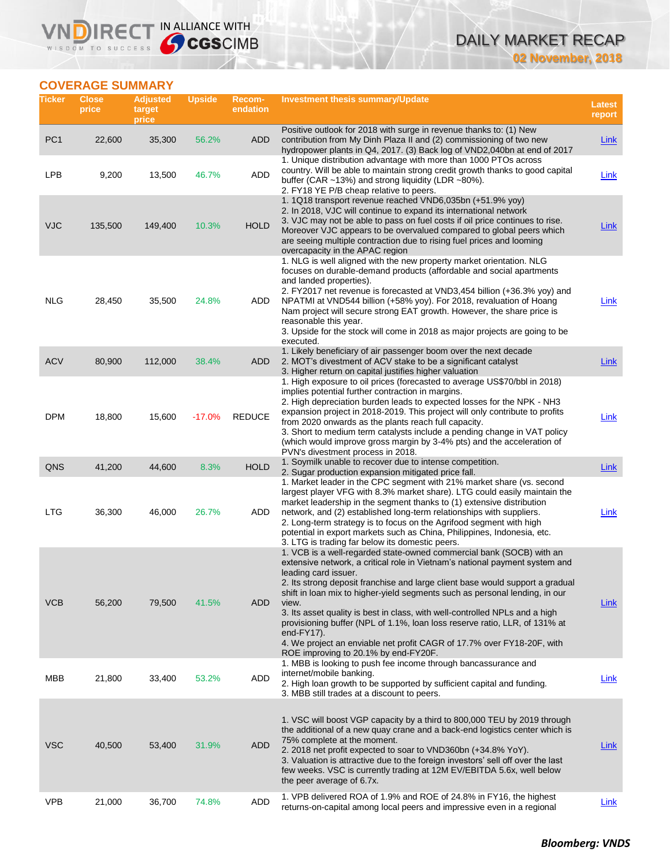# DAILY MARKET RECAP **02 November, 2018**

# **COVERAGE SUMMARY**

WISDOM TO SUCCESS

VND

IRECT IN ALLIANCE WITH

| Ticker          | <b>Close</b><br>price | <b>Adjusted</b><br>target<br>price | <b>Upside</b> | <b>Recom-</b><br>endation | <b>Investment thesis summary/Update</b>                                                                                                                                                                                                                                                                                                                                                                                                                                                                                                                                                                                                           | <b>Latest</b><br>report |
|-----------------|-----------------------|------------------------------------|---------------|---------------------------|---------------------------------------------------------------------------------------------------------------------------------------------------------------------------------------------------------------------------------------------------------------------------------------------------------------------------------------------------------------------------------------------------------------------------------------------------------------------------------------------------------------------------------------------------------------------------------------------------------------------------------------------------|-------------------------|
| PC <sub>1</sub> | 22,600                | 35,300                             | 56.2%         | ADD                       | Positive outlook for 2018 with surge in revenue thanks to: (1) New<br>contribution from My Dinh Plaza II and (2) commissioning of two new<br>hydropower plants in Q4, 2017. (3) Back log of VND2,040bn at end of 2017<br>1. Unique distribution advantage with more than 1000 PTOs across                                                                                                                                                                                                                                                                                                                                                         | <b>Link</b>             |
| <b>LPB</b>      | 9,200                 | 13,500                             | 46.7%         | <b>ADD</b>                | country. Will be able to maintain strong credit growth thanks to good capital<br>buffer (CAR $\sim$ 13%) and strong liquidity (LDR $\sim$ 80%).<br>2. FY18 YE P/B cheap relative to peers.                                                                                                                                                                                                                                                                                                                                                                                                                                                        | Link                    |
| VJC             | 135,500               | 149,400                            | 10.3%         | <b>HOLD</b>               | 1. 1Q18 transport revenue reached VND6,035bn (+51.9% yoy)<br>2. In 2018, VJC will continue to expand its international network<br>3. VJC may not be able to pass on fuel costs if oil price continues to rise.<br>Moreover VJC appears to be overvalued compared to global peers which<br>are seeing multiple contraction due to rising fuel prices and looming<br>overcapacity in the APAC region                                                                                                                                                                                                                                                | Link                    |
| NLG             | 28,450                | 35,500                             | 24.8%         | ADD                       | 1. NLG is well aligned with the new property market orientation. NLG<br>focuses on durable-demand products (affordable and social apartments<br>and landed properties).<br>2. FY2017 net revenue is forecasted at VND3,454 billion (+36.3% yoy) and<br>NPATMI at VND544 billion (+58% yoy). For 2018, revaluation of Hoang<br>Nam project will secure strong EAT growth. However, the share price is<br>reasonable this year.<br>3. Upside for the stock will come in 2018 as major projects are going to be<br>executed.                                                                                                                         | <u>Link</u>             |
| <b>ACV</b>      | 80,900                | 112,000                            | 38.4%         | ADD                       | 1. Likely beneficiary of air passenger boom over the next decade<br>2. MOT's divestment of ACV stake to be a significant catalyst<br>3. Higher return on capital justifies higher valuation                                                                                                                                                                                                                                                                                                                                                                                                                                                       | <u>Link</u>             |
| <b>DPM</b>      | 18,800                | 15,600                             | $-17.0%$      | <b>REDUCE</b>             | 1. High exposure to oil prices (forecasted to average US\$70/bbl in 2018)<br>implies potential further contraction in margins.<br>2. High depreciation burden leads to expected losses for the NPK - NH3<br>expansion project in 2018-2019. This project will only contribute to profits<br>from 2020 onwards as the plants reach full capacity.<br>3. Short to medium term catalysts include a pending change in VAT policy<br>(which would improve gross margin by 3-4% pts) and the acceleration of<br>PVN's divestment process in 2018.                                                                                                       | Link                    |
| QNS             | 41,200                | 44,600                             | 8.3%          | <b>HOLD</b>               | 1. Soymilk unable to recover due to intense competition.<br>2. Sugar production expansion mitigated price fall.                                                                                                                                                                                                                                                                                                                                                                                                                                                                                                                                   | <b>Link</b>             |
| <b>LTG</b>      | 36,300                | 46,000                             | 26.7%         | ADD                       | 1. Market leader in the CPC segment with 21% market share (vs. second<br>largest player VFG with 8.3% market share). LTG could easily maintain the<br>market leadership in the segment thanks to (1) extensive distribution<br>network, and (2) established long-term relationships with suppliers.<br>2. Long-term strategy is to focus on the Agrifood segment with high<br>potential in export markets such as China, Philippines, Indonesia, etc.<br>3. LTG is trading far below its domestic peers.                                                                                                                                          | Link                    |
| <b>VCB</b>      | 56,200                | 79,500                             | 41.5%         | <b>ADD</b>                | 1. VCB is a well-regarded state-owned commercial bank (SOCB) with an<br>extensive network, a critical role in Vietnam's national payment system and<br>leading card issuer.<br>2. Its strong deposit franchise and large client base would support a gradual<br>shift in loan mix to higher-yield segments such as personal lending, in our<br>view.<br>3. Its asset quality is best in class, with well-controlled NPLs and a high<br>provisioning buffer (NPL of 1.1%, loan loss reserve ratio, LLR, of 131% at<br>end-FY17).<br>4. We project an enviable net profit CAGR of 17.7% over FY18-20F, with<br>ROE improving to 20.1% by end-FY20F. | Link                    |
| MBB             | 21,800                | 33,400                             | 53.2%         | ADD                       | 1. MBB is looking to push fee income through bancassurance and<br>internet/mobile banking.<br>2. High loan growth to be supported by sufficient capital and funding.<br>3. MBB still trades at a discount to peers.                                                                                                                                                                                                                                                                                                                                                                                                                               | Link                    |
| VSC             | 40,500                | 53,400                             | 31.9%         | <b>ADD</b>                | 1. VSC will boost VGP capacity by a third to 800,000 TEU by 2019 through<br>the additional of a new quay crane and a back-end logistics center which is<br>75% complete at the moment.<br>2. 2018 net profit expected to soar to VND360bn (+34.8% YoY).<br>3. Valuation is attractive due to the foreign investors' sell off over the last<br>few weeks. VSC is currently trading at 12M EV/EBITDA 5.6x, well below<br>the peer average of 6.7x.                                                                                                                                                                                                  | Link                    |
| <b>VPB</b>      | 21,000                | 36,700                             | 74.8%         | <b>ADD</b>                | 1. VPB delivered ROA of 1.9% and ROE of 24.8% in FY16, the highest<br>returns-on-capital among local peers and impressive even in a regional                                                                                                                                                                                                                                                                                                                                                                                                                                                                                                      | <b>Link</b>             |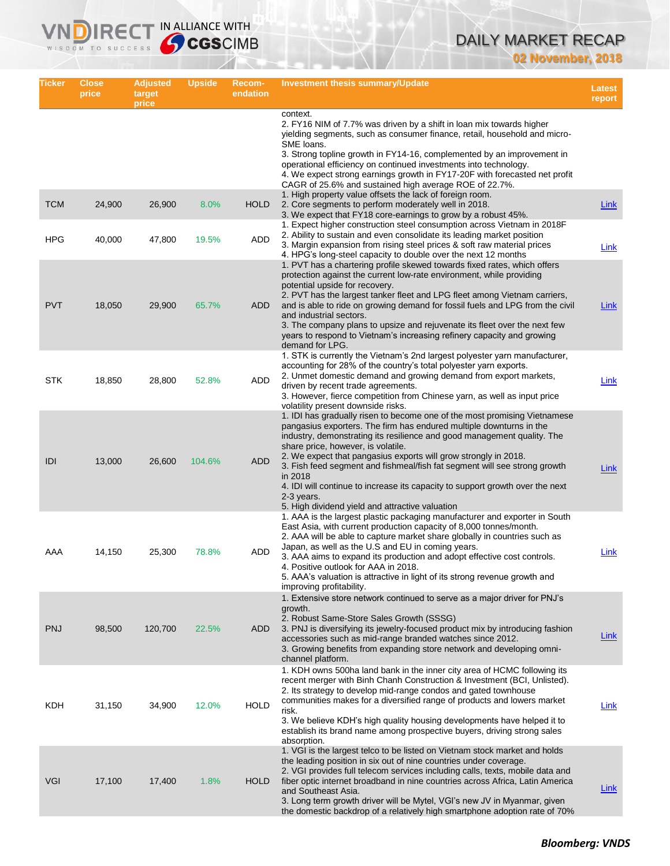# DAILY MARKET RECAP

**02 November, 2018**

| Ticker     | <b>Close</b><br>price | <b>Adjusted</b><br>target<br>price | <b>Upside</b> | <b>Recom-</b><br>endation | <b>Investment thesis summary/Update</b>                                                                                                                                                                                                                                                                                                                                                                                                                                                                                                                                        | Latest<br>report |
|------------|-----------------------|------------------------------------|---------------|---------------------------|--------------------------------------------------------------------------------------------------------------------------------------------------------------------------------------------------------------------------------------------------------------------------------------------------------------------------------------------------------------------------------------------------------------------------------------------------------------------------------------------------------------------------------------------------------------------------------|------------------|
|            |                       |                                    |               |                           | context.<br>2. FY16 NIM of 7.7% was driven by a shift in loan mix towards higher<br>yielding segments, such as consumer finance, retail, household and micro-<br>SME loans.<br>3. Strong topline growth in FY14-16, complemented by an improvement in<br>operational efficiency on continued investments into technology.<br>4. We expect strong earnings growth in FY17-20F with forecasted net profit<br>CAGR of 25.6% and sustained high average ROE of 22.7%.                                                                                                              |                  |
| <b>TCM</b> | 24,900                | 26,900                             | 8.0%          | <b>HOLD</b>               | 1. High property value offsets the lack of foreign room.<br>2. Core segments to perform moderately well in 2018.<br>3. We expect that FY18 core-earnings to grow by a robust 45%.                                                                                                                                                                                                                                                                                                                                                                                              | Link             |
| <b>HPG</b> | 40,000                | 47,800                             | 19.5%         | <b>ADD</b>                | 1. Expect higher construction steel consumption across Vietnam in 2018 F<br>2. Ability to sustain and even consolidate its leading market position<br>3. Margin expansion from rising steel prices & soft raw material prices<br>4. HPG's long-steel capacity to double over the next 12 months                                                                                                                                                                                                                                                                                | Link             |
| <b>PVT</b> | 18,050                | 29,900                             | 65.7%         | ADD                       | 1. PVT has a chartering profile skewed towards fixed rates, which offers<br>protection against the current low-rate environment, while providing<br>potential upside for recovery.<br>2. PVT has the largest tanker fleet and LPG fleet among Vietnam carriers,<br>and is able to ride on growing demand for fossil fuels and LPG from the civil<br>and industrial sectors.<br>3. The company plans to upsize and rejuvenate its fleet over the next few<br>years to respond to Vietnam's increasing refinery capacity and growing<br>demand for LPG.                          | Link             |
| <b>STK</b> | 18,850                | 28,800                             | 52.8%         | ADD                       | 1. STK is currently the Vietnam's 2nd largest polyester yarn manufacturer,<br>accounting for 28% of the country's total polyester yarn exports.<br>2. Unmet domestic demand and growing demand from export markets,<br>driven by recent trade agreements.<br>3. However, fierce competition from Chinese yarn, as well as input price<br>volatility present downside risks.                                                                                                                                                                                                    | Link             |
| IDI        | 13,000                | 26,600                             | 104.6%        | <b>ADD</b>                | 1. IDI has gradually risen to become one of the most promising Vietnamese<br>pangasius exporters. The firm has endured multiple downturns in the<br>industry, demonstrating its resilience and good management quality. The<br>share price, however, is volatile.<br>2. We expect that pangasius exports will grow strongly in 2018.<br>3. Fish feed segment and fishmeal/fish fat segment will see strong growth<br>in 2018<br>4. IDI will continue to increase its capacity to support growth over the next<br>2-3 years.<br>5. High dividend yield and attractive valuation | <b>Link</b>      |
| AAA        | 14,150                | 25,300                             | 78.8%         | ADD                       | 1. AAA is the largest plastic packaging manufacturer and exporter in South<br>East Asia, with current production capacity of 8,000 tonnes/month.<br>2. AAA will be able to capture market share globally in countries such as<br>Japan, as well as the U.S and EU in coming years.<br>3. AAA aims to expand its production and adopt effective cost controls.<br>4. Positive outlook for AAA in 2018.<br>5. AAA's valuation is attractive in light of its strong revenue growth and<br>improving profitability.                                                                | Link             |
| <b>PNJ</b> | 98,500                | 120,700                            | 22.5%         | ADD                       | 1. Extensive store network continued to serve as a major driver for PNJ's<br>growth.<br>2. Robust Same-Store Sales Growth (SSSG)<br>3. PNJ is diversifying its jewelry-focused product mix by introducing fashion<br>accessories such as mid-range branded watches since 2012.<br>3. Growing benefits from expanding store network and developing omni-<br>channel platform.                                                                                                                                                                                                   | <b>Link</b>      |
| <b>KDH</b> | 31,150                | 34,900                             | 12.0%         | <b>HOLD</b>               | 1. KDH owns 500ha land bank in the inner city area of HCMC following its<br>recent merger with Binh Chanh Construction & Investment (BCI, Unlisted).<br>2. Its strategy to develop mid-range condos and gated townhouse<br>communities makes for a diversified range of products and lowers market<br>risk.<br>3. We believe KDH's high quality housing developments have helped it to<br>establish its brand name among prospective buyers, driving strong sales<br>absorption.                                                                                               | Link             |
| VGI        | 17,100                | 17,400                             | 1.8%          | <b>HOLD</b>               | 1. VGI is the largest telco to be listed on Vietnam stock market and holds<br>the leading position in six out of nine countries under coverage.<br>2. VGI provides full telecom services including calls, texts, mobile data and<br>fiber optic internet broadband in nine countries across Africa, Latin America<br>and Southeast Asia.<br>3. Long term growth driver will be Mytel, VGI's new JV in Myanmar, given<br>the domestic backdrop of a relatively high smartphone adoption rate of 70%                                                                             | Link             |

**VNDIRECT IN ALLIANCE WITH**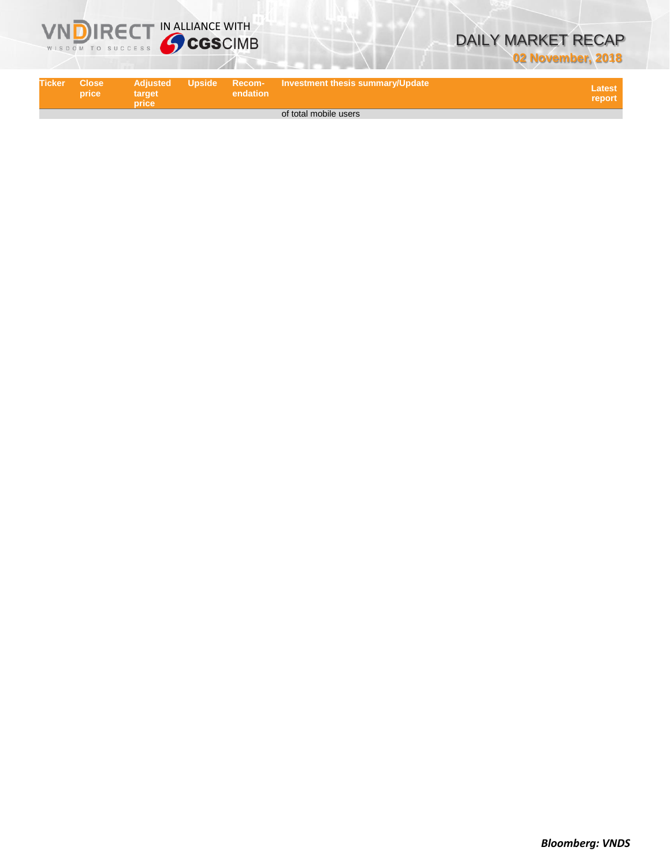



| <b>Ticker</b> | <b>Close</b><br>price | target | endation | Adjusted Upside Recom- Investment_thesis_summary/Update , | Latest<br>report |
|---------------|-----------------------|--------|----------|-----------------------------------------------------------|------------------|
|               |                       |        |          | of total mobile users                                     |                  |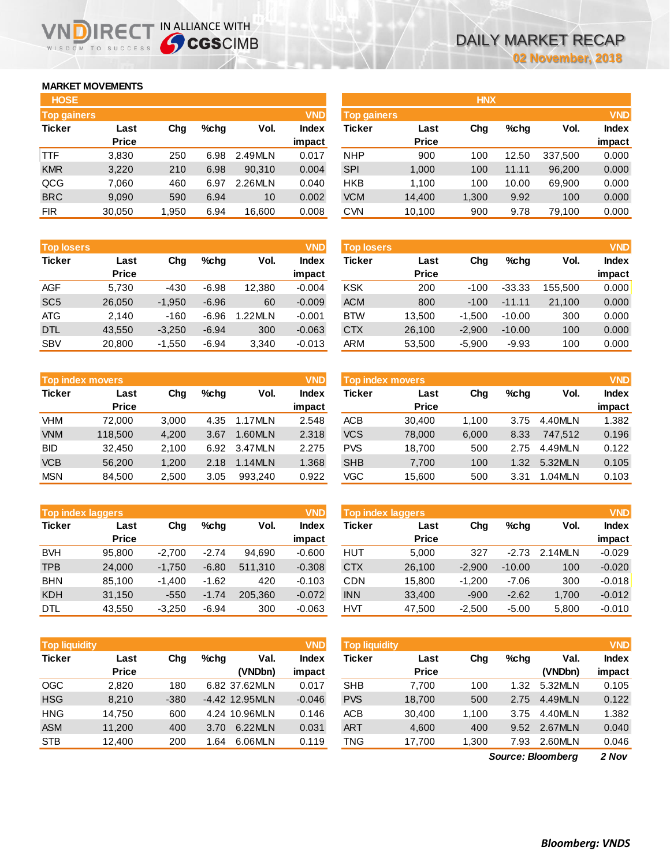# **MARKET MOVEMENTS**

WISDOM TO SUCCESS

n

| <b>HOSE</b>        |              |       |      |         |              |
|--------------------|--------------|-------|------|---------|--------------|
| <b>Top gainers</b> |              |       |      |         | <b>VND</b>   |
| <b>Ticker</b>      | Last         | Chq   | %chq | Vol.    | <b>Index</b> |
|                    | <b>Price</b> |       |      |         | impact       |
| <b>TTF</b>         | 3,830        | 250   | 6.98 | 2.49MLN | 0.017        |
| <b>KMR</b>         | 3,220        | 210   | 6.98 | 90,310  | 0.004        |
| QCG                | 7,060        | 460   | 6.97 | 2.26MLN | 0.040        |
| <b>BRC</b>         | 9,090        | 590   | 6.94 | 10      | 0.002        |
| <b>FIR</b>         | 30,050       | 1,950 | 6.94 | 16,600  | 0.008        |

**IRECT IN ALLIANCE WITH** 

| <b>Top losers</b> |              |          |         |         | <b>VND</b>   |
|-------------------|--------------|----------|---------|---------|--------------|
| <b>Ticker</b>     | Last         | Cha      | %chq    | Vol.    | <b>Index</b> |
|                   | <b>Price</b> |          |         |         | impact       |
| <b>AGF</b>        | 5,730        | -430     | $-6.98$ | 12,380  | $-0.004$     |
| SC <sub>5</sub>   | 26,050       | $-1,950$ | $-6.96$ | 60      | $-0.009$     |
| ATG               | 2.140        | $-160$   | $-6.96$ | 1.22MLN | $-0.001$     |
| <b>DTL</b>        | 43,550       | $-3,250$ | $-6.94$ | 300     | $-0.063$     |
| <b>SBV</b>        | 20,800       | $-1,550$ | $-6.94$ | 3,340   | $-0.013$     |

| <b>VND</b><br><b>Top index movers</b> |              |       |      |         |              |  |  |  |
|---------------------------------------|--------------|-------|------|---------|--------------|--|--|--|
| <b>Ticker</b>                         | Last         | Cha   | %chq | Vol.    | <b>Index</b> |  |  |  |
|                                       | <b>Price</b> |       |      |         | impact       |  |  |  |
| VHM                                   | 72,000       | 3,000 | 4.35 | 1.17MLN | 2.548        |  |  |  |
| <b>VNM</b>                            | 118,500      | 4,200 | 3.67 | 1.60MLN | 2.318        |  |  |  |
| <b>BID</b>                            | 32,450       | 2,100 | 6.92 | 3.47MLN | 2.275        |  |  |  |
| <b>VCB</b>                            | 56,200       | 1,200 | 2.18 | 1.14MLN | 1.368        |  |  |  |
| <b>MSN</b>                            | 84,500       | 2,500 | 3.05 | 993.240 | 0.922        |  |  |  |

| <b>VND</b><br><b>Top index laggers</b> |              |          |         |         |              |  |  |  |
|----------------------------------------|--------------|----------|---------|---------|--------------|--|--|--|
| <b>Ticker</b>                          | Last         | Cha      | %chq    | Vol.    | <b>Index</b> |  |  |  |
|                                        | <b>Price</b> |          |         |         | impact       |  |  |  |
| <b>BVH</b>                             | 95,800       | $-2,700$ | $-2.74$ | 94,690  | $-0.600$     |  |  |  |
| <b>TPB</b>                             | 24,000       | $-1,750$ | $-6.80$ | 511,310 | $-0.308$     |  |  |  |
| <b>BHN</b>                             | 85,100       | $-1,400$ | $-1.62$ | 420     | $-0.103$     |  |  |  |
| <b>KDH</b>                             | 31,150       | $-550$   | $-1.74$ | 205,360 | $-0.072$     |  |  |  |
| DTL                                    | 43,550       | $-3,250$ | $-6.94$ | 300     | $-0.063$     |  |  |  |

| <b>Top liquidity</b> |              |        |      |                | <b>VND</b>   |
|----------------------|--------------|--------|------|----------------|--------------|
| <b>Ticker</b>        | Last         | Cha    | %chq | Val.           | <b>Index</b> |
|                      | <b>Price</b> |        |      | (VNDbn)        | impact       |
| <b>OGC</b>           | 2,820        | 180    |      | 6.82 37.62MLN  | 0.017        |
| <b>HSG</b>           | 8,210        | $-380$ |      | -4.42 12.95MLN | $-0.046$     |
| <b>HNG</b>           | 14,750       | 600    |      | 4.24 10.96MLN  | 0.146        |
| <b>ASM</b>           | 11,200       | 400    | 3.70 | 6.22MLN        | 0.031        |
| <b>STB</b>           | 12,400       | 200    | 1.64 | 6.06MLN        | 0.119        |

| <b>HOSE</b>        |              |       |      |         |              |               |              | <b>HNX</b> |         |         |              |
|--------------------|--------------|-------|------|---------|--------------|---------------|--------------|------------|---------|---------|--------------|
| <b>Top gainers</b> |              |       |      |         | <b>VND</b>   | Top gainers   |              |            |         |         | <b>VND</b>   |
| Ticker             | Last         | Chg   | %chg | Vol.    | <b>Index</b> | <b>Ticker</b> | Last         | Chg        | $%$ chq | Vol.    | <b>Index</b> |
|                    | <b>Price</b> |       |      |         | impact       |               | <b>Price</b> |            |         |         | impact       |
| TTF                | 3,830        | 250   | 6.98 | 2.49MLN | 0.017        | <b>NHP</b>    | 900          | 100        | 12.50   | 337,500 | 0.000        |
| <b>KMR</b>         | 3,220        | 210   | 6.98 | 90.310  | 0.004        | <b>SPI</b>    | 1,000        | 100        | 11.11   | 96,200  | 0.000        |
| QCG                | 7,060        | 460   | 6.97 | 2.26MLN | 0.040        | <b>HKB</b>    | 1.100        | 100        | 10.00   | 69,900  | 0.000        |
| <b>BRC</b>         | 9,090        | 590   | 6.94 | 10      | 0.002        | <b>VCM</b>    | 14,400       | 1,300      | 9.92    | 100     | 0.000        |
| <b>FIR</b>         | 30,050       | 1,950 | 6.94 | 16,600  | 0.008        | <b>CVN</b>    | 10,100       | 900        | 9.78    | 79,100  | 0.000        |
|                    |              |       |      |         |              |               |              |            |         |         |              |

| <b>Top losers</b> |                      |          |         |               | <b>VND</b>             | <b>Top losers</b> |                      |          |          |         | <b>VND</b>             |
|-------------------|----------------------|----------|---------|---------------|------------------------|-------------------|----------------------|----------|----------|---------|------------------------|
| Ticker            | Last<br><b>Price</b> | Chg      | $%$ chq | Vol.          | <b>Index</b><br>impact | Ticker            | Last<br><b>Price</b> | Chg      | $%$ chq  | Vol.    | <b>Index</b><br>impact |
| AGF               | 5.730                | $-430$   | $-6.98$ | 12,380        | $-0.004$               | <b>KSK</b>        | 200                  | $-100$   | $-33.33$ | 155.500 | 0.000                  |
| SC <sub>5</sub>   | 26,050               | $-1,950$ | $-6.96$ | 60            | $-0.009$               | <b>ACM</b>        | 800                  | $-100$   | $-11.11$ | 21.100  | 0.000                  |
| ATG               | 2.140                | $-160$   | $-6.96$ | <b>.22MLN</b> | $-0.001$               | <b>BTW</b>        | 13,500               | $-1.500$ | $-10.00$ | 300     | 0.000                  |
| <b>DTL</b>        | 43.550               | $-3.250$ | $-6.94$ | 300           | $-0.063$               | <b>CTX</b>        | 26,100               | $-2.900$ | $-10.00$ | 100     | 0.000                  |
| <b>SBV</b>        | 20,800               | $-1,550$ | $-6.94$ | 3,340         | $-0.013$               | ARM               | 53,500               | $-5,900$ | $-9.93$  | 100     | 0.000                  |

|            | <b>Top index movers,</b> |       |      |         | <b>VND</b>   | Top index movers |              |       |      |         | <b>VND</b>   |
|------------|--------------------------|-------|------|---------|--------------|------------------|--------------|-------|------|---------|--------------|
| Ticker     | Last                     | Chg   | %chq | Vol.    | <b>Index</b> | Ticker           | Last         | Chg   | %chq | Vol.    | <b>Index</b> |
|            | <b>Price</b>             |       |      |         | impact       |                  | <b>Price</b> |       |      |         | impact       |
| VHM        | 72.000                   | 3.000 | 4.35 | 1.17MLN | 2.548        | ACB              | 30.400       | 1.100 | 3.75 | 4.40MLN | 1.382        |
| <b>VNM</b> | 118,500                  | 4,200 | 3.67 | 1.60MLN | 2.318        | <b>VCS</b>       | 78,000       | 6,000 | 8.33 | 747,512 | 0.196        |
| BID        | 32.450                   | 2.100 | 6.92 | 3.47MLN | 2.275        | <b>PVS</b>       | 18.700       | 500   | 2.75 | 4.49MLN | 0.122        |
| <b>VCB</b> | 56,200                   | 1.200 | 2.18 | 1.14MLN | 1.368        | <b>SHB</b>       | 7,700        | 100   | 1.32 | 5.32MLN | 0.105        |
| <b>MSN</b> | 84,500                   | 2,500 | 3.05 | 993.240 | 0.922        | VGC              | 15,600       | 500   | 3.31 | 1.04MLN | 0.103        |

| <b>Top index laggers</b> |                      |          |         |         | <b>VND</b>             | <b>Top index laggers</b> |                      |          |          |         | <b>VND</b>             |
|--------------------------|----------------------|----------|---------|---------|------------------------|--------------------------|----------------------|----------|----------|---------|------------------------|
| Ticker                   | Last<br><b>Price</b> | Chg      | $%$ chq | Vol.    | <b>Index</b><br>impact | Ticker                   | Last<br><b>Price</b> | Chg      | $%$ chq  | Vol.    | <b>Index</b><br>impact |
| <b>BVH</b>               | 95.800               | $-2.700$ | $-2.74$ | 94.690  | $-0.600$               | HUT                      | 5.000                | 327      | $-2.73$  | 2.14MLN | $-0.029$               |
| <b>TPB</b>               | 24.000               | $-1.750$ | $-6.80$ | 511.310 | $-0.308$               | <b>CTX</b>               | 26,100               | $-2.900$ | $-10.00$ | 100     | $-0.020$               |
| <b>BHN</b>               | 85.100               | $-1.400$ | $-1.62$ | 420     | $-0.103$               | CDN                      | 15,800               | $-1.200$ | $-7.06$  | 300     | $-0.018$               |
| KDH                      | 31.150               | $-550$   | $-1.74$ | 205,360 | $-0.072$               | <b>INN</b>               | 33.400               | $-900$   | $-2.62$  | 1.700   | $-0.012$               |
| DTL                      | 43,550               | $-3,250$ | $-6.94$ | 300     | $-0.063$               | HVT                      | 47,500               | $-2,500$ | $-5.00$  | 5,800   | $-0.010$               |

| <b>Top liquidity</b> |              |        |         |                  | <b>VND</b>   | <b>Top liquidity</b> |              |       |         |         | <b>VND</b>   |
|----------------------|--------------|--------|---------|------------------|--------------|----------------------|--------------|-------|---------|---------|--------------|
| Ticker               | Last         | Chg    | $%$ chq | Val.             | <b>Index</b> | Ticker               | Last         | Chg   | $%$ chq | Val.    | <b>Index</b> |
|                      | <b>Price</b> |        |         | (VNDbn)          | impact       |                      | <b>Price</b> |       |         | (VNDbn) | impact       |
| OGC                  | 2,820        | 180    |         | 6.82 37.62MLN    | 0.017        | <b>SHB</b>           | 7.700        | 100   | 1.32    | 5.32MLN | 0.105        |
| <b>HSG</b>           | 8.210        | $-380$ |         | $-4.42$ 12.95MLN | $-0.046$     | <b>PVS</b>           | 18.700       | 500   | 2.75    | 4.49MLN | 0.122        |
| HNG                  | 14.750       | 600    |         | 4.24 10.96MLN    | 0.146        | ACB                  | 30.400       | 1.100 | 3.75    | 4.40MLN | 1.382        |
| <b>ASM</b>           | 11.200       | 400    | 3.70    | 6.22MLN          | 0.031        | <b>ART</b>           | 4,600        | 400   | 9.52    | 2.67MLN | 0.040        |
| <b>STB</b>           | 12,400       | 200    | .64     | 6.06MLN          | 0.119        | <b>TNG</b>           | 17,700       | 1,300 | 7.93    | 2.60MLN | 0.046        |
|                      |              |        |         |                  |              |                      |              |       |         |         | - - -        |

*2 Nov Source: Bloomberg*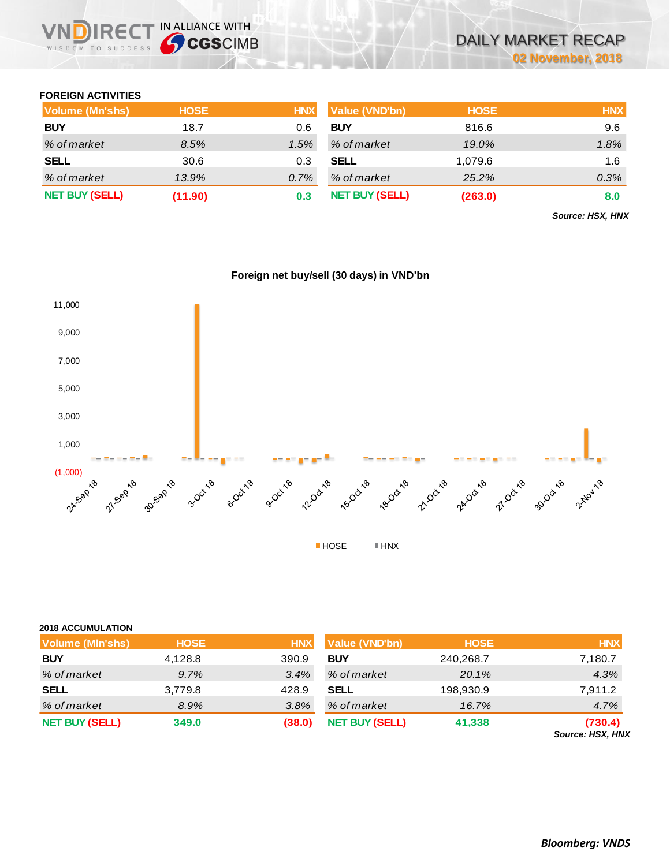

## **FOREIGN ACTIVITIES**

| Volume (Mn'shs)       | <b>HOSE</b> | <b>HNX</b> | Value (VND'bn)        | <b>HOSE</b> | <b>HNX</b> |
|-----------------------|-------------|------------|-----------------------|-------------|------------|
| <b>BUY</b>            | 18.7        | 0.6        | <b>BUY</b>            | 816.6       | 9.6        |
| % of market           | 8.5%        | 1.5%       | % of market           | 19.0%       | 1.8%       |
| <b>SELL</b>           | 30.6        | 0.3        | <b>SELL</b>           | 1,079.6     | 1.6        |
| % of market           | 13.9%       | 0.7%       | % of market           | 25.2%       | 0.3%       |
| <b>NET BUY (SELL)</b> | (11.90)     | 0.3        | <b>NET BUY (SELL)</b> | (263.0)     | 8.0        |

*Source: HSX, HNX*



## **Foreign net buy/sell (30 days) in VND'bn**

## **2018 ACCUMULATION**

| <b>Volume (MIn'shs)</b> | <b>HOSE</b> | <b>HNX</b> | <b>Value (VND'bn)</b> | <b>HOSE</b> | <b>HNX</b>                  |
|-------------------------|-------------|------------|-----------------------|-------------|-----------------------------|
| <b>BUY</b>              | 4,128.8     | 390.9      | <b>BUY</b>            | 240,268.7   | 7,180.7                     |
| % of market             | 9.7%        | 3.4%       | % of market           | 20.1%       | 4.3%                        |
| <b>SELL</b>             | 3,779.8     | 428.9      | <b>SELL</b>           | 198,930.9   | 7,911.2                     |
| % of market             | 8.9%        | 3.8%       | % of market           | $16.7\%$    | 4.7%                        |
| <b>NET BUY (SELL)</b>   | 349.0       | (38.0)     | <b>NET BUY (SELL)</b> | 41,338      | (730.4)<br>Source: HSX, HNX |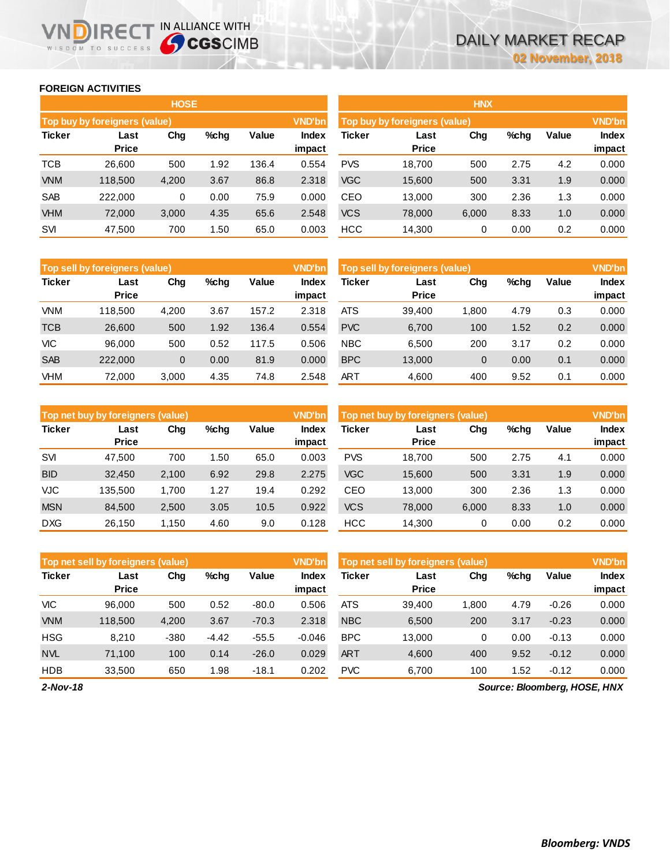## **FOREIGN ACTIVITIES**

WISDOM TO SUCCESS

הו

IRECT IN ALLIANCE WITH

|               |                               | <b>HOSE</b> |         |       |                        |            |                               | <b>HNX</b> |      |       |                        |
|---------------|-------------------------------|-------------|---------|-------|------------------------|------------|-------------------------------|------------|------|-------|------------------------|
|               | Top buy by foreigners (value) |             |         |       | <b>VND'bn</b>          |            | Top buy by foreigners (value) |            |      |       | <b>VND'bn</b>          |
| <b>Ticker</b> | Last<br><b>Price</b>          | Chg         | $%$ chg | Value | <b>Index</b><br>impact | Ticker     | Last<br><b>Price</b>          | Chg        | %chg | Value | <b>Index</b><br>impact |
| <b>TCB</b>    | 26,600                        | 500         | 1.92    | 136.4 | 0.554                  | <b>PVS</b> | 18.700                        | 500        | 2.75 | 4.2   | 0.000                  |
| <b>VNM</b>    | 118,500                       | 4,200       | 3.67    | 86.8  | 2.318                  | <b>VGC</b> | 15,600                        | 500        | 3.31 | 1.9   | 0.000                  |
| <b>SAB</b>    | 222,000                       | 0           | 0.00    | 75.9  | 0.000                  | CEO        | 13,000                        | 300        | 2.36 | 1.3   | 0.000                  |
| <b>VHM</b>    | 72,000                        | 3,000       | 4.35    | 65.6  | 2.548                  | <b>VCS</b> | 78,000                        | 6,000      | 8.33 | 1.0   | 0.000                  |
| SVI           | 47,500                        | 700         | 1.50    | 65.0  | 0.003                  | <b>HCC</b> | 14,300                        | 0          | 0.00 | 0.2   | 0.000                  |

|               | Top sell by foreigners (value) |       |      |       | <b>VND'bn</b>   |               | Top sell by foreigners (value) |       |      |       | <b>VND'bn</b>   |
|---------------|--------------------------------|-------|------|-------|-----------------|---------------|--------------------------------|-------|------|-------|-----------------|
| <b>Ticker</b> | Last<br><b>Price</b>           | Chg   | %chg | Value | Index<br>impact | <b>Ticker</b> | Last<br><b>Price</b>           | Chg   | %chg | Value | Index<br>impact |
| <b>VNM</b>    | 118,500                        | 4,200 | 3.67 | 157.2 | 2.318           | <b>ATS</b>    | 39.400                         | 1.800 | 4.79 | 0.3   | 0.000           |
| <b>TCB</b>    | 26,600                         | 500   | 1.92 | 136.4 | 0.554           | <b>PVC</b>    | 6.700                          | 100   | 1.52 | 0.2   | 0.000           |
| VIC           | 96.000                         | 500   | 0.52 | 117.5 | 0.506           | <b>NBC</b>    | 6.500                          | 200   | 3.17 | 0.2   | 0.000           |
| <b>SAB</b>    | 222,000                        | 0     | 0.00 | 81.9  | 0.000           | <b>BPC</b>    | 13,000                         | 0     | 0.00 | 0.1   | 0.000           |
| VHM           | 72,000                         | 3,000 | 4.35 | 74.8  | 2.548           | <b>ART</b>    | 4,600                          | 400   | 9.52 | 0.1   | 0.000           |

|               | Top net buy by foreigners (value) |       |         |       | <b>VND'bn</b>          |            | Top net buy by foreigners (value) |       |      |       | <b>VND'bn</b>          |
|---------------|-----------------------------------|-------|---------|-------|------------------------|------------|-----------------------------------|-------|------|-------|------------------------|
| <b>Ticker</b> | Last<br><b>Price</b>              | Chg   | $%$ chg | Value | <b>Index</b><br>impact | Ticker     | Last<br><b>Price</b>              | Chg   | %chg | Value | <b>Index</b><br>impact |
| <b>SVI</b>    | 47.500                            | 700   | 1.50    | 65.0  | 0.003                  | <b>PVS</b> | 18.700                            | 500   | 2.75 | 4.1   | 0.000                  |
| <b>BID</b>    | 32.450                            | 2,100 | 6.92    | 29.8  | 2.275                  | <b>VGC</b> | 15,600                            | 500   | 3.31 | 1.9   | 0.000                  |
| VJC           | 135.500                           | 1.700 | 1.27    | 19.4  | 0.292                  | CEO        | 13.000                            | 300   | 2.36 | 1.3   | 0.000                  |
| <b>MSN</b>    | 84.500                            | 2,500 | 3.05    | 10.5  | 0.922                  | <b>VCS</b> | 78,000                            | 6,000 | 8.33 | 1.0   | 0.000                  |
| <b>DXG</b>    | 26.150                            | 1.150 | 4.60    | 9.0   | 0.128                  | <b>HCC</b> | 14.300                            | 0     | 0.00 | 0.2   | 0.000                  |

|               | Top net sell by foreigners (value) |        |         |         | <b>VND'bn</b>          |               | Top net sell by foreigners (value) |       |      |              | <b>VND'bn</b>   |
|---------------|------------------------------------|--------|---------|---------|------------------------|---------------|------------------------------------|-------|------|--------------|-----------------|
| <b>Ticker</b> | Last<br><b>Price</b>               | Chg    | $%$ chq | Value   | <b>Index</b><br>impact | <b>Ticker</b> | Last<br><b>Price</b>               | Chg   | %chg | <b>Value</b> | Index<br>impact |
| <b>VIC</b>    | 96.000                             | 500    | 0.52    | $-80.0$ | 0.506                  | <b>ATS</b>    | 39,400                             | 1.800 | 4.79 | $-0.26$      | 0.000           |
| <b>VNM</b>    | 118,500                            | 4,200  | 3.67    | $-70.3$ | 2.318                  | <b>NBC</b>    | 6,500                              | 200   | 3.17 | $-0.23$      | 0.000           |
| <b>HSG</b>    | 8.210                              | $-380$ | $-4.42$ | $-55.5$ | $-0.046$               | <b>BPC</b>    | 13,000                             | 0     | 0.00 | $-0.13$      | 0.000           |
| <b>NVL</b>    | 71.100                             | 100    | 0.14    | $-26.0$ | 0.029                  | <b>ART</b>    | 4,600                              | 400   | 9.52 | $-0.12$      | 0.000           |
| <b>HDB</b>    | 33,500                             | 650    | 1.98    | $-18.1$ | 0.202                  | <b>PVC</b>    | 6,700                              | 100   | l.52 | $-0.12$      | 0.000           |

*2-Nov-18*

*Source: Bloomberg, HOSE, HNX*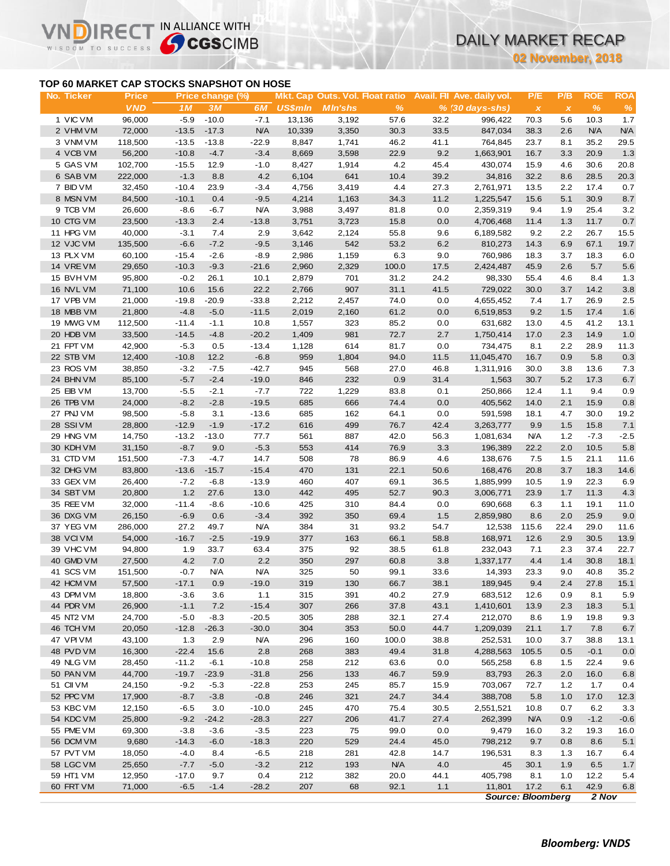# DAILY MARKET RECAP

**02 November, 2018**

## **TOP 60 MARKET CAP STOCKS SNAPSHOT ON HOSE**

**IREC** 

Vľ

IN ALLIANCE WITH

|                                           |                            |                   |                        |                    |                |                                                          |              |             |                            |                                   | 02 November, 2018   |                             |                    |
|-------------------------------------------|----------------------------|-------------------|------------------------|--------------------|----------------|----------------------------------------------------------|--------------|-------------|----------------------------|-----------------------------------|---------------------|-----------------------------|--------------------|
| TOP 60 MARKET CAP STOCKS SNAPSHOT ON HOSE |                            |                   |                        |                    |                |                                                          |              |             |                            |                                   |                     |                             |                    |
| No. Ticker                                | <b>Price</b><br><b>VND</b> | 1M                | Price change (%)<br>3M | 6M                 | <b>US\$mln</b> | <b>Mkt. Cap Outs. Vol. Float ratio</b><br><b>MIn'shs</b> |              |             | Avail. Fil Ave. daily vol. | P/E                               | P/B                 | <b>ROE</b><br>$\frac{9}{6}$ | <b>ROA</b><br>$\%$ |
| 1 VIC VM                                  | 96,000                     | $-5.9$            | $-10.0$                | $-7.1$             | 13,136         | 3,192                                                    | $\%$<br>57.6 | 32.2        | % (30 days-shs)<br>996,422 | $\boldsymbol{\mathsf{X}}$<br>70.3 | $\pmb{\chi}$<br>5.6 | 10.3                        | 1.7                |
| 2 VHM VM                                  | 72,000                     | $-13.5$           | $-17.3$                | <b>N/A</b>         | 10,339         | 3,350                                                    | 30.3         | 33.5        | 847,034                    | 38.3                              | 2.6                 | <b>N/A</b>                  | <b>N/A</b>         |
| 3 VNM VM                                  | 118,500                    | $-13.5$           | $-13.8$                | $-22.9$            | 8,847          | 1,741                                                    | 46.2         | 41.1        | 764,845                    | 23.7                              | 8.1                 | 35.2                        | 29.5               |
| 4 VCB VM                                  | 56,200                     | $-10.8$           | $-4.7$                 | $-3.4$             | 8,669          | 3,598                                                    | 22.9         | 9.2         | 1,663,901                  | 16.7                              | 3.3                 | 20.9                        | 1.3                |
| 5 GAS VM                                  | 102,700                    | $-15.5$           | 12.9                   | $-1.0$             | 8,427          | 1,914                                                    | 4.2          | 45.4        | 430,074                    | 15.9                              | 4.6                 | 30.6                        | 20.8               |
| 6 SAB VM                                  | 222,000                    | $-1.3$            | 8.8                    | 4.2                | 6,104          | 641                                                      | 10.4         | 39.2        | 34,816                     | 32.2                              | 8.6                 | 28.5                        | 20.3               |
| 7 BID VM                                  | 32,450                     | $-10.4$           | 23.9                   | $-3.4$             | 4,756          | 3,419                                                    | 4.4          | 27.3        | 2,761,971                  | 13.5                              | 2.2                 | 17.4                        | 0.7                |
| 8 MSN VM                                  | 84,500                     | $-10.1$           | 0.4                    | $-9.5$             | 4,214          | 1,163                                                    | 34.3         | 11.2        | 1,225,547                  | 15.6                              | 5.1                 | 30.9                        | 8.7                |
| 9 TCB VM                                  | 26,600                     | $-8.6$            | -6.7                   | <b>N/A</b>         | 3,988          | 3,497                                                    | 81.8         | 0.0         | 2,359,319                  | 9.4                               | 1.9                 | 25.4                        | 3.2                |
| 10 CTG VM                                 | 23,500                     | $-13.3$           | 2.4                    | $-13.8$            | 3,751          | 3,723                                                    | 15.8         | 0.0         | 4,706,468                  | 11.4                              | 1.3                 | 11.7                        | $0.7\,$            |
| 11 HPG VM                                 | 40,000                     | $-3.1$            | 7.4                    | 2.9                | 3,642          | 2,124                                                    | 55.8         | 9.6         | 6,189,582                  | 9.2                               | 2.2                 | 26.7                        | 15.5               |
| 12 VJC VM                                 | 135,500                    | $-6.6$            | $-7.2$                 | $-9.5$             | 3,146          | 542                                                      | 53.2         | 6.2         | 810,273                    | 14.3                              | 6.9                 | 67.1                        | 19.7               |
| 13 PLX VM                                 | 60,100                     | $-15.4$           | $-2.6$                 | $-8.9$             | 2,986          | 1,159                                                    | 6.3          | 9.0         | 760,986                    | 18.3                              | 3.7                 | 18.3                        | 6.0                |
| 14 VRE VM                                 | 29,650                     | $-10.3$           | $-9.3$                 | $-21.6$            | 2,960          | 2,329                                                    | 100.0        | 17.5        | 2,424,487                  | 45.9                              | 2.6                 | 5.7                         | 5.6                |
| 15 BVH VM                                 | 95,800                     | $-0.2$            | 26.1                   | 10.1               | 2,879          | 701                                                      | 31.2         | 24.2        | 98,330                     | 55.4                              | 4.6                 | 8.4                         | 1.3                |
| 16 NVL VM                                 | 71,100                     | 10.6              | 15.6                   | 22.2               | 2,766          | 907                                                      | 31.1         | 41.5        | 729,022                    | 30.0                              | 3.7                 | 14.2                        | $3.8\,$            |
| 17 VPB VM                                 | 21,000                     | $-19.8$           | $-20.9$                | $-33.8$            | 2,212          | 2,457                                                    | 74.0         | 0.0         | 4,655,452                  | 7.4                               | 1.7                 | 26.9                        | 2.5                |
| 18 MBB VM                                 | 21,800                     | $-4.8$            | $-5.0$                 | $-11.5$            | 2,019          | 2,160                                                    | 61.2         | 0.0         | 6,519,853                  | 9.2                               | 1.5                 | 17.4                        | 1.6                |
| 19 MWG VM                                 | 112,500                    | $-11.4$           | $-1.1$                 | 10.8               | 1,557          | 323                                                      | 85.2         | 0.0         | 631,682                    | 13.0                              | 4.5                 | 41.2                        | 13.1               |
| 20 HDB VM                                 | 33,500                     | $-14.5$           | $-4.8$                 | $-20.2$            | 1,409          | 981                                                      | 72.7         | 2.7         | 1,750,414                  | 17.0                              | 2.3                 | 14.9                        | 1.0                |
| 21 FPT VM                                 | 42,900                     | $-5.3$            | 0.5                    | $-13.4$            | 1,128          | 614                                                      | 81.7         | 0.0         | 734,475                    | 8.1                               | 2.2                 | 28.9                        | 11.3               |
| 22 STB VM                                 | 12,400                     | $-10.8$           | 12.2                   | $-6.8$             | 959            | 1,804                                                    | 94.0         | 11.5        | 11,045,470                 | 16.7                              | 0.9                 | 5.8                         | 0.3                |
| 23 ROS VM                                 | 38,850                     | $-3.2$            | $-7.5$                 | $-42.7$            | 945            | 568                                                      | 27.0         | 46.8        | 1,311,916                  | 30.0                              | 3.8                 | 13.6                        | 7.3                |
| 24 BHN VM                                 | 85,100                     | $-5.7$            | $-2.4$                 | $-19.0$            | 846            | 232                                                      | 0.9          | 31.4        | 1,563                      | 30.7                              | 5.2                 | 17.3                        | $6.7\,$            |
| 25 EIB VM                                 | 13,700                     | $-5.5$            | $-2.1$                 | $-7.7$             | 722            | 1,229                                                    | 83.8         | 0.1         | 250,866                    | 12.4                              | 1.1                 | 9.4                         | 0.9                |
| 26 TPB VM                                 | 24,000                     | $-8.2$            | $-2.8$                 | $-19.5$            | 685            | 666                                                      | 74.4         | 0.0         | 405,562                    | 14.0                              | 2.1                 | 15.9                        | $0.8\,$            |
| 27 PNJ VM<br>28 SSIVM                     | 98,500<br>28,800           | $-5.8$<br>$-12.9$ | 3.1<br>$-1.9$          | $-13.6$<br>$-17.2$ | 685<br>616     | 162<br>499                                               | 64.1<br>76.7 | 0.0<br>42.4 | 591,598<br>3,263,777       | 18.1<br>9.9                       | 4.7<br>1.5          | 30.0<br>15.8                | 19.2<br>7.1        |
| 29 HNG VM                                 | 14,750                     | $-13.2$           | $-13.0$                | 77.7               | 561            | 887                                                      | 42.0         | 56.3        | 1,081,634                  | <b>N/A</b>                        | $1.2$               | $-7.3$                      | $-2.5$             |
| 30 KDH VM                                 | 31,150                     | $-8.7$            | 9.0                    | $-5.3$             | 553            | 414                                                      | 76.9         | 3.3         | 196,389                    | 22.2                              | 2.0                 | 10.5                        | 5.8                |
| 31 CTD VM                                 | 151,500                    | $-7.3$            | $-4.7$                 | 14.7               | 508            | 78                                                       | 86.9         | 4.6         | 138,676                    | 7.5                               | 1.5                 | 21.1                        | 11.6               |
| 32 DHG VM                                 | 83,800                     | $-13.6$           | $-15.7$                | $-15.4$            | 470            | 131                                                      | 22.1         | 50.6        | 168,476                    | 20.8                              | 3.7                 | 18.3                        | 14.6               |
| 33 GEX VM                                 | 26,400                     | $-7.2$            | $-6.8$                 | $-13.9$            | 460            | 407                                                      | 69.1         | 36.5        | 1,885,999                  | 10.5                              | 1.9                 | 22.3                        | 6.9                |
| 34 SBT VM                                 | 20,800                     | 1.2               | 27.6                   | 13.0               | 442            | 495                                                      | 52.7         | 90.3        | 3,006,771                  | 23.9                              | 1.7                 | 11.3                        | 4.3                |
| 35 REE VM                                 | 32,000                     | $-11.4$           | $-8.6$                 | $-10.6$            | 425            | 310                                                      | 84.4         | 0.0         | 690,668                    | 6.3                               | 1.1                 | 19.1                        | 11.0               |
| 36 DXG VM                                 | 26,150                     | $-6.9$            | 0.6                    | $-3.4$             | 392            | 350                                                      | 69.4         | 1.5         | 2,859,980                  | 8.6                               | 2.0                 | 25.9                        | 9.0                |
| 37 YEG VM                                 | 286,000                    | 27.2              | 49.7                   | <b>N/A</b>         | 384            | 31                                                       | 93.2         | 54.7        | 12,538                     | 115.6                             | 22.4                | 29.0                        | 11.6               |
| 38 VCIVM                                  | 54,000                     | $-16.7$           | $-2.5$                 | $-19.9$            | 377            | 163                                                      | 66.1         | 58.8        | 168,971                    | 12.6                              | 2.9                 | 30.5                        | 13.9               |
| 39 VHC VM                                 | 94,800                     | 1.9               | 33.7                   | 63.4               | 375            | 92                                                       | 38.5         | 61.8        | 232,043                    | 7.1                               | 2.3                 | 37.4                        | 22.7               |
| 40 GMD VM                                 | 27,500                     | 4.2               | 7.0                    | 2.2                | 350            | 297                                                      | 60.8         | 3.8         | 1,337,177                  | 4.4                               | 1.4                 | 30.8                        | 18.1               |
| 41 SCS VM                                 | 151,500                    | $-0.7$            | <b>N/A</b>             | <b>N/A</b>         | 325            | 50                                                       | 99.1         | 33.6        | 14,393                     | 23.3                              | 9.0                 | 40.8                        | 35.2               |
| 42 HCM VM                                 | 57,500                     | $-17.1$           | 0.9                    | $-19.0$            | 319            | 130                                                      | 66.7         | 38.1        | 189,945                    | 9.4                               | 2.4                 | 27.8                        | 15.1               |
| 43 DPM VM                                 | 18,800                     | $-3.6$            | 3.6                    | 1.1                | 315            | 391                                                      | 40.2         | 27.9        | 683,512                    | 12.6                              | 0.9                 | 8.1                         | 5.9                |
| 44 PDR VM                                 | 26,900                     | $-1.1$            | 7.2                    | $-15.4$            | 307            | 266                                                      | 37.8         | 43.1        | 1,410,601                  | 13.9                              | 2.3                 | 18.3                        | 5.1                |
| 45 NT2 VM                                 | 24,700                     | $-5.0$            | $-8.3$                 | $-20.5$            | 305            | 288                                                      | 32.1         | 27.4        | 212,070                    | 8.6                               | 1.9                 | 19.8                        | 9.3                |
| 46 TCH VM                                 | 20,050                     | $-12.8$           | $-26.3$                | $-30.0$            | 304            | 353                                                      | 50.0         | 44.7        | 1,209,039                  | 21.1                              | 1.7                 | 7.8                         | 6.7                |
| 47 VPIVM                                  | 43,100                     | 1.3               | 2.9                    | <b>N/A</b>         | 296            | 160                                                      | 100.0        | 38.8        | 252,531                    | 10.0                              | 3.7                 | 38.8                        | 13.1               |
| 48 PVD VM                                 | 16,300                     | $-22.4$           | 15.6                   | 2.8                | 268            | 383                                                      | 49.4         | 31.8        | 4,288,563                  | 105.5                             | 0.5                 | $-0.1$                      | 0.0                |
| 49 NLG VM                                 | 28,450                     | $-11.2$           | $-6.1$                 | $-10.8$            | 258            | 212                                                      | 63.6         | 0.0         | 565,258                    | 6.8                               | $1.5$               | 22.4                        | 9.6                |
| 50 PAN VM                                 | 44,700                     | $-19.7$           | $-23.9$                | $-31.8$            | 256            | 133                                                      | 46.7         | 59.9        | 83,793                     | 26.3                              | 2.0                 | 16.0                        | 6.8                |
| 51 CII VM                                 | 24,150                     | $-9.2$            | $-5.3$                 | $-22.8$            | 253            | 245                                                      | 85.7         | 15.9        | 703,067                    | 72.7                              | $1.2$               | 1.7                         | 0.4                |
| 52 PPC VM                                 | 17,900                     | $-8.7$            | $-3.8$                 | $-0.8$             | 246            | 321                                                      | 24.7         | 34.4        | 388,708                    | 5.8                               | 1.0                 | 17.0                        | 12.3               |
| 53 KBC VM                                 | 12,150                     | $-6.5$            | 3.0                    | $-10.0$            | 245            | 470                                                      | 75.4         | 30.5        | 2,551,521                  | 10.8                              | 0.7                 | 6.2                         | 3.3                |
| 54 KDC VM                                 | 25,800                     | $-9.2$            | $-24.2$                | $-28.3$            | 227            | 206                                                      | 41.7         | 27.4        | 262,399                    | <b>N/A</b>                        | 0.9                 | $-1.2$                      | $-0.6$             |
| 55 PME VM                                 | 69,300                     | $-3.8$            | $-3.6$                 | $-3.5$             | 223            | 75                                                       | 99.0         | 0.0         | 9,479                      | 16.0                              | 3.2                 | 19.3                        | 16.0               |
| 56 DCM VM                                 | 9,680                      | $-14.3$           | $-6.0$                 | $-18.3$            | 220            | 529                                                      | 24.4         | 45.0        | 798,212                    | 9.7                               | 0.8                 | 8.6                         | 5.1                |
| 57 PVT VM                                 | 18,050                     | $-4.0$            | 8.4                    | $-6.5$             | 218            | 281                                                      | 42.8         | 14.7        | 196,531                    | 8.3                               | 1.3                 | 16.7                        | 6.4                |
| 58 LGC VM                                 | 25,650                     | $-7.7$            | $-5.0$                 | $-3.2$             | 212            | 193                                                      | <b>N/A</b>   | 4.0         | 45                         | 30.1                              | 1.9                 | 6.5                         | 1.7                |
| 59 HT1 VM                                 | 12,950                     | $-17.0$           | 9.7                    | 0.4                | 212            | 382                                                      | 20.0         | 44.1        | 405,798                    | 8.1                               | 1.0                 | 12.2                        | 5.4                |
| 60 FRT VM                                 | 71,000                     | $-6.5$            | $-1.4$                 | $-28.2$            | 207            | 68                                                       | 92.1         | 1.1         | 11,801                     | 17.2<br>Source: Bloomberg         | 6.1                 | 42.9<br>$2$ Nov             | 6.8                |